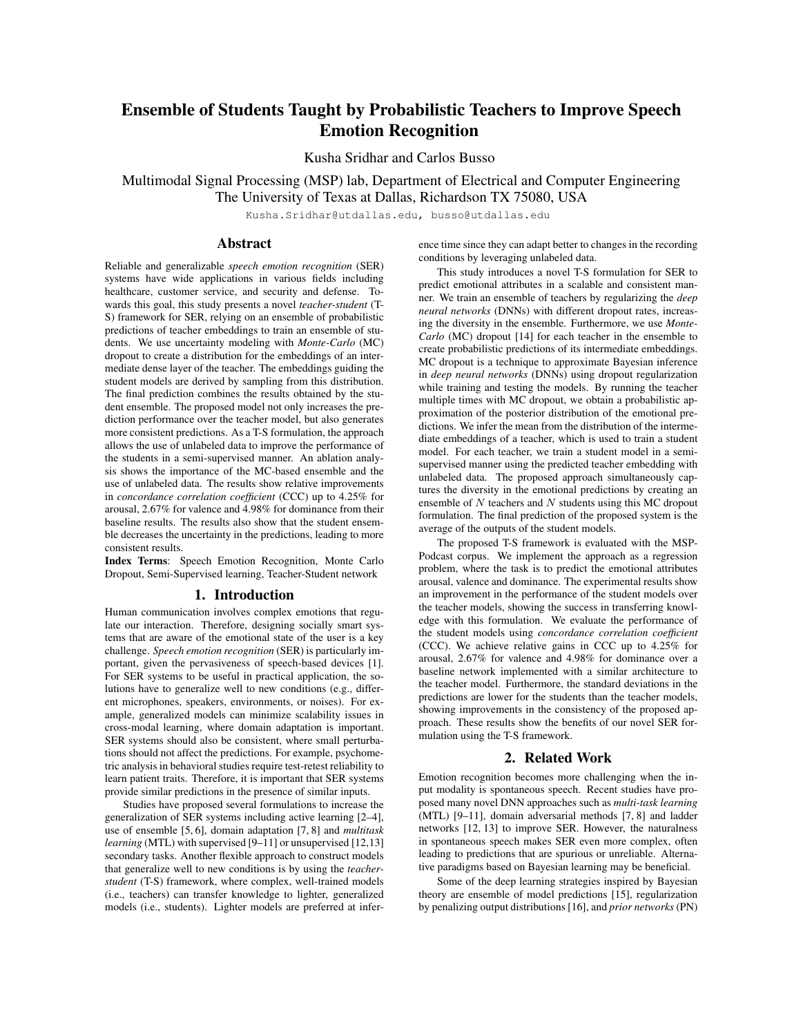# Ensemble of Students Taught by Probabilistic Teachers to Improve Speech Emotion Recognition

Kusha Sridhar and Carlos Busso

Multimodal Signal Processing (MSP) lab, Department of Electrical and Computer Engineering The University of Texas at Dallas, Richardson TX 75080, USA

Kusha.Sridhar@utdallas.edu, busso@utdallas.edu

# Abstract

Reliable and generalizable *speech emotion recognition* (SER) systems have wide applications in various fields including healthcare, customer service, and security and defense. Towards this goal, this study presents a novel *teacher-student* (T-S) framework for SER, relying on an ensemble of probabilistic predictions of teacher embeddings to train an ensemble of students. We use uncertainty modeling with *Monte-Carlo* (MC) dropout to create a distribution for the embeddings of an intermediate dense layer of the teacher. The embeddings guiding the student models are derived by sampling from this distribution. The final prediction combines the results obtained by the student ensemble. The proposed model not only increases the prediction performance over the teacher model, but also generates more consistent predictions. As a T-S formulation, the approach allows the use of unlabeled data to improve the performance of the students in a semi-supervised manner. An ablation analysis shows the importance of the MC-based ensemble and the use of unlabeled data. The results show relative improvements in *concordance correlation coefficient* (CCC) up to 4.25% for arousal, 2.67% for valence and 4.98% for dominance from their baseline results. The results also show that the student ensemble decreases the uncertainty in the predictions, leading to more consistent results.

Index Terms: Speech Emotion Recognition, Monte Carlo Dropout, Semi-Supervised learning, Teacher-Student network

### 1. Introduction

Human communication involves complex emotions that regulate our interaction. Therefore, designing socially smart systems that are aware of the emotional state of the user is a key challenge. *Speech emotion recognition* (SER) is particularly important, given the pervasiveness of speech-based devices [1]. For SER systems to be useful in practical application, the solutions have to generalize well to new conditions (e.g., different microphones, speakers, environments, or noises). For example, generalized models can minimize scalability issues in cross-modal learning, where domain adaptation is important. SER systems should also be consistent, where small perturbations should not affect the predictions. For example, psychometric analysis in behavioral studies require test-retest reliability to learn patient traits. Therefore, it is important that SER systems provide similar predictions in the presence of similar inputs.

Studies have proposed several formulations to increase the generalization of SER systems including active learning [2–4], use of ensemble [5, 6], domain adaptation [7, 8] and *multitask learning* (MTL) with supervised [9–11] or unsupervised [12,13] secondary tasks. Another flexible approach to construct models that generalize well to new conditions is by using the *teacherstudent* (T-S) framework, where complex, well-trained models (i.e., teachers) can transfer knowledge to lighter, generalized models (i.e., students). Lighter models are preferred at inference time since they can adapt better to changes in the recording conditions by leveraging unlabeled data.

This study introduces a novel T-S formulation for SER to predict emotional attributes in a scalable and consistent manner. We train an ensemble of teachers by regularizing the *deep neural networks* (DNNs) with different dropout rates, increasing the diversity in the ensemble. Furthermore, we use *Monte-Carlo* (MC) dropout [14] for each teacher in the ensemble to create probabilistic predictions of its intermediate embeddings. MC dropout is a technique to approximate Bayesian inference in *deep neural networks* (DNNs) using dropout regularization while training and testing the models. By running the teacher multiple times with MC dropout, we obtain a probabilistic approximation of the posterior distribution of the emotional predictions. We infer the mean from the distribution of the intermediate embeddings of a teacher, which is used to train a student model. For each teacher, we train a student model in a semisupervised manner using the predicted teacher embedding with unlabeled data. The proposed approach simultaneously captures the diversity in the emotional predictions by creating an ensemble of *N* teachers and *N* students using this MC dropout formulation. The final prediction of the proposed system is the average of the outputs of the student models.

The proposed T-S framework is evaluated with the MSP-Podcast corpus. We implement the approach as a regression problem, where the task is to predict the emotional attributes arousal, valence and dominance. The experimental results show an improvement in the performance of the student models over the teacher models, showing the success in transferring knowledge with this formulation. We evaluate the performance of the student models using *concordance correlation coefficient* (CCC). We achieve relative gains in CCC up to 4.25% for arousal, 2.67% for valence and 4.98% for dominance over a baseline network implemented with a similar architecture to the teacher model. Furthermore, the standard deviations in the predictions are lower for the students than the teacher models, showing improvements in the consistency of the proposed approach. These results show the benefits of our novel SER formulation using the T-S framework.

## 2. Related Work

Emotion recognition becomes more challenging when the input modality is spontaneous speech. Recent studies have proposed many novel DNN approaches such as *multi-task learning* (MTL) [9–11], domain adversarial methods [7, 8] and ladder networks [12, 13] to improve SER. However, the naturalness in spontaneous speech makes SER even more complex, often leading to predictions that are spurious or unreliable. Alternative paradigms based on Bayesian learning may be beneficial.

Some of the deep learning strategies inspired by Bayesian theory are ensemble of model predictions [15], regularization by penalizing output distributions [16], and *prior networks* (PN)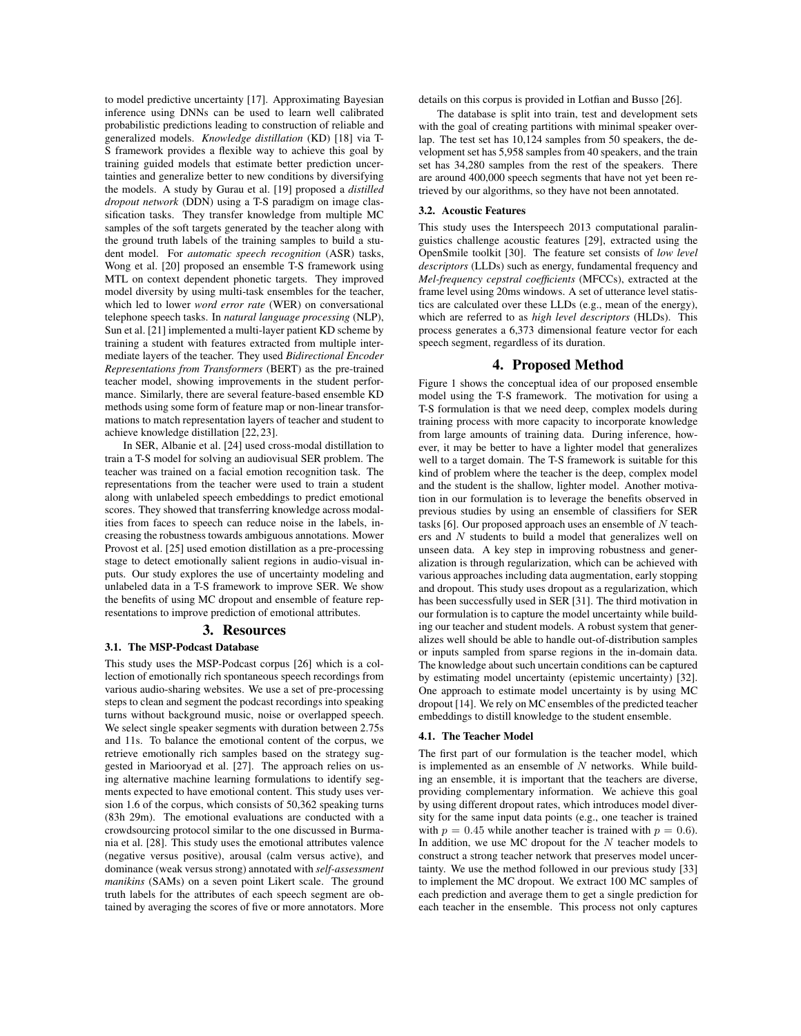to model predictive uncertainty [17]. Approximating Bayesian inference using DNNs can be used to learn well calibrated probabilistic predictions leading to construction of reliable and generalized models. *Knowledge distillation* (KD) [18] via T-S framework provides a flexible way to achieve this goal by training guided models that estimate better prediction uncertainties and generalize better to new conditions by diversifying the models. A study by Gurau et al. [19] proposed a *distilled dropout network* (DDN) using a T-S paradigm on image classification tasks. They transfer knowledge from multiple MC samples of the soft targets generated by the teacher along with the ground truth labels of the training samples to build a student model. For *automatic speech recognition* (ASR) tasks, Wong et al. [20] proposed an ensemble T-S framework using MTL on context dependent phonetic targets. They improved model diversity by using multi-task ensembles for the teacher, which led to lower *word error rate* (WER) on conversational telephone speech tasks. In *natural language processing* (NLP), Sun et al. [21] implemented a multi-layer patient KD scheme by training a student with features extracted from multiple intermediate layers of the teacher. They used *Bidirectional Encoder Representations from Transformers* (BERT) as the pre-trained teacher model, showing improvements in the student performance. Similarly, there are several feature-based ensemble KD methods using some form of feature map or non-linear transformations to match representation layers of teacher and student to achieve knowledge distillation [22, 23].

In SER, Albanie et al. [24] used cross-modal distillation to train a T-S model for solving an audiovisual SER problem. The teacher was trained on a facial emotion recognition task. The representations from the teacher were used to train a student along with unlabeled speech embeddings to predict emotional scores. They showed that transferring knowledge across modalities from faces to speech can reduce noise in the labels, increasing the robustness towards ambiguous annotations. Mower Provost et al. [25] used emotion distillation as a pre-processing stage to detect emotionally salient regions in audio-visual inputs. Our study explores the use of uncertainty modeling and unlabeled data in a T-S framework to improve SER. We show the benefits of using MC dropout and ensemble of feature representations to improve prediction of emotional attributes.

#### 3. Resources

## 3.1. The MSP-Podcast Database

This study uses the MSP-Podcast corpus [26] which is a collection of emotionally rich spontaneous speech recordings from various audio-sharing websites. We use a set of pre-processing steps to clean and segment the podcast recordings into speaking turns without background music, noise or overlapped speech. We select single speaker segments with duration between 2.75s and 11s. To balance the emotional content of the corpus, we retrieve emotionally rich samples based on the strategy suggested in Mariooryad et al. [27]. The approach relies on using alternative machine learning formulations to identify segments expected to have emotional content. This study uses version 1.6 of the corpus, which consists of 50,362 speaking turns (83h 29m). The emotional evaluations are conducted with a crowdsourcing protocol similar to the one discussed in Burmania et al. [28]. This study uses the emotional attributes valence (negative versus positive), arousal (calm versus active), and dominance (weak versus strong) annotated with *self-assessment manikins* (SAMs) on a seven point Likert scale. The ground truth labels for the attributes of each speech segment are obtained by averaging the scores of five or more annotators. More details on this corpus is provided in Lotfian and Busso [26].

The database is split into train, test and development sets with the goal of creating partitions with minimal speaker overlap. The test set has 10,124 samples from 50 speakers, the development set has 5,958 samples from 40 speakers, and the train set has 34,280 samples from the rest of the speakers. There are around 400,000 speech segments that have not yet been retrieved by our algorithms, so they have not been annotated.

### 3.2. Acoustic Features

This study uses the Interspeech 2013 computational paralinguistics challenge acoustic features [29], extracted using the OpenSmile toolkit [30]. The feature set consists of *low level descriptors* (LLDs) such as energy, fundamental frequency and *Mel-frequency cepstral coefficients* (MFCCs), extracted at the frame level using 20ms windows. A set of utterance level statistics are calculated over these LLDs (e.g., mean of the energy), which are referred to as *high level descriptors* (HLDs). This process generates a 6,373 dimensional feature vector for each speech segment, regardless of its duration.

## 4. Proposed Method

Figure 1 shows the conceptual idea of our proposed ensemble model using the T-S framework. The motivation for using a T-S formulation is that we need deep, complex models during training process with more capacity to incorporate knowledge from large amounts of training data. During inference, however, it may be better to have a lighter model that generalizes well to a target domain. The T-S framework is suitable for this kind of problem where the teacher is the deep, complex model and the student is the shallow, lighter model. Another motivation in our formulation is to leverage the benefits observed in previous studies by using an ensemble of classifiers for SER tasks [6]. Our proposed approach uses an ensemble of *N* teachers and *N* students to build a model that generalizes well on unseen data. A key step in improving robustness and generalization is through regularization, which can be achieved with various approaches including data augmentation, early stopping and dropout. This study uses dropout as a regularization, which has been successfully used in SER [31]. The third motivation in our formulation is to capture the model uncertainty while building our teacher and student models. A robust system that generalizes well should be able to handle out-of-distribution samples or inputs sampled from sparse regions in the in-domain data. The knowledge about such uncertain conditions can be captured by estimating model uncertainty (epistemic uncertainty) [32]. One approach to estimate model uncertainty is by using MC dropout [14]. We rely on MC ensembles of the predicted teacher embeddings to distill knowledge to the student ensemble.

#### 4.1. The Teacher Model

The first part of our formulation is the teacher model, which is implemented as an ensemble of *N* networks. While building an ensemble, it is important that the teachers are diverse, providing complementary information. We achieve this goal by using different dropout rates, which introduces model diversity for the same input data points (e.g., one teacher is trained with  $p = 0.45$  while another teacher is trained with  $p = 0.6$ ). In addition, we use MC dropout for the *N* teacher models to construct a strong teacher network that preserves model uncertainty. We use the method followed in our previous study [33] to implement the MC dropout. We extract 100 MC samples of each prediction and average them to get a single prediction for each teacher in the ensemble. This process not only captures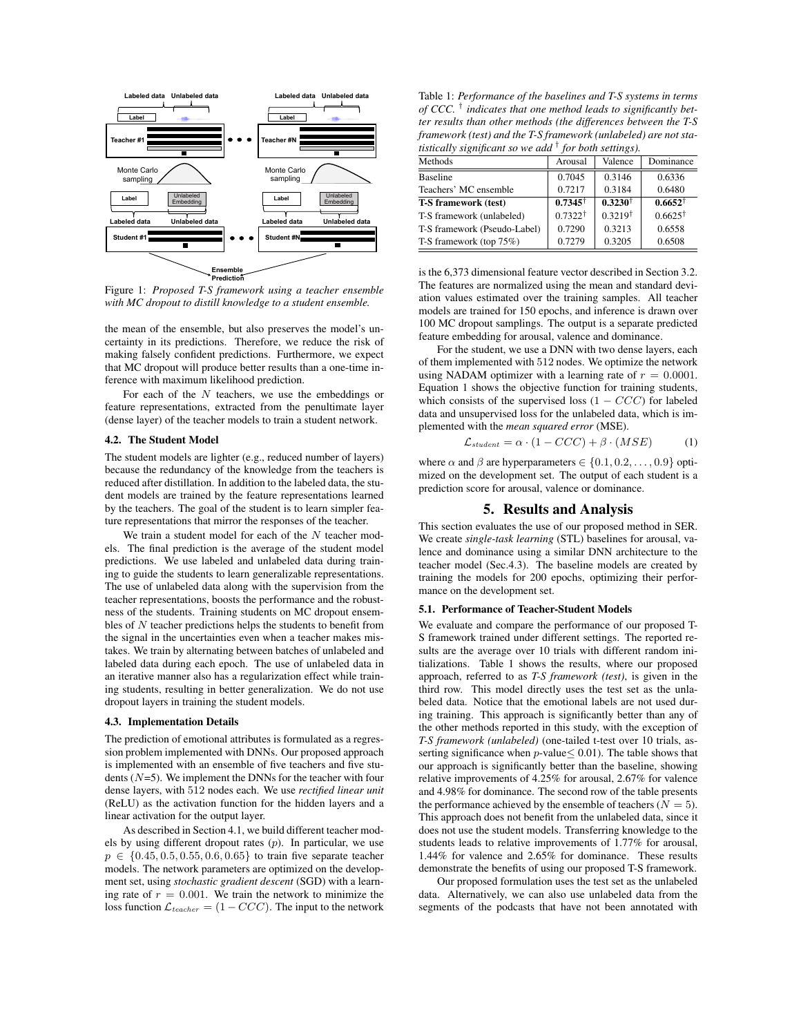

Figure 1: *Proposed T-S framework using a teacher ensemble with MC dropout to distill knowledge to a student ensemble.*

the mean of the ensemble, but also preserves the model's uncertainty in its predictions. Therefore, we reduce the risk of making falsely confident predictions. Furthermore, we expect that MC dropout will produce better results than a one-time inference with maximum likelihood prediction.

For each of the *N* teachers, we use the embeddings or feature representations, extracted from the penultimate layer (dense layer) of the teacher models to train a student network.

### 4.2. The Student Model

The student models are lighter (e.g., reduced number of layers) because the redundancy of the knowledge from the teachers is reduced after distillation. In addition to the labeled data, the student models are trained by the feature representations learned by the teachers. The goal of the student is to learn simpler feature representations that mirror the responses of the teacher.

We train a student model for each of the *N* teacher models. The final prediction is the average of the student model predictions. We use labeled and unlabeled data during training to guide the students to learn generalizable representations. The use of unlabeled data along with the supervision from the teacher representations, boosts the performance and the robustness of the students. Training students on MC dropout ensembles of *N* teacher predictions helps the students to benefit from the signal in the uncertainties even when a teacher makes mistakes. We train by alternating between batches of unlabeled and labeled data during each epoch. The use of unlabeled data in an iterative manner also has a regularization effect while training students, resulting in better generalization. We do not use dropout layers in training the student models.

#### 4.3. Implementation Details

The prediction of emotional attributes is formulated as a regression problem implemented with DNNs. Our proposed approach is implemented with an ensemble of five teachers and five students (*N*=5). We implement the DNNs for the teacher with four dense layers, with 512 nodes each. We use *rectified linear unit* (ReLU) as the activation function for the hidden layers and a linear activation for the output layer.

As described in Section 4.1, we build different teacher models by using different dropout rates (*p*). In particular, we use  $p \in \{0.45, 0.5, 0.55, 0.6, 0.65\}$  to train five separate teacher models. The network parameters are optimized on the development set, using *stochastic gradient descent* (SGD) with a learning rate of  $r = 0.001$ . We train the network to minimize the loss function  $\mathcal{L}_{teacher} = (1 - CCC)$ . The input to the network

Table 1: *Performance of the baselines and T-S systems in terms of CCC. † indicates that one method leads to significantly better results than other methods (the differences between the T-S framework (test) and the T-S framework (unlabeled) are not statistically significant so we add † for both settings).*

| Arousal            | Valence            | Dominance          |
|--------------------|--------------------|--------------------|
| 0.7045             | 0.3146             | 0.6336             |
| 0.7217             | 0.3184             | 0.6480             |
| $0.7345^{\dagger}$ | $0.3230^{\dagger}$ | $0.6652^+$         |
| $0.7322^{\dagger}$ | $0.3219^{\dagger}$ | $0.6625^{\dagger}$ |
| 0.7290             | 0.3213             | 0.6558             |
| 0.7279             | 0.3205             | 0.6508             |
|                    |                    |                    |

is the 6,373 dimensional feature vector described in Section 3.2. The features are normalized using the mean and standard deviation values estimated over the training samples. All teacher models are trained for 150 epochs, and inference is drawn over 100 MC dropout samplings. The output is a separate predicted feature embedding for arousal, valence and dominance.

For the student, we use a DNN with two dense layers, each of them implemented with 512 nodes. We optimize the network using NADAM optimizer with a learning rate of  $r = 0.0001$ . Equation 1 shows the objective function for training students, which consists of the supervised loss  $(1 - CCC)$  for labeled data and unsupervised loss for the unlabeled data, which is implemented with the *mean squared error* (MSE).

$$
\mathcal{L}_{student} = \alpha \cdot (1 - CCC) + \beta \cdot (MSE) \tag{1}
$$

where  $\alpha$  and  $\beta$  are hyperparameters  $\in \{0.1, 0.2, \ldots, 0.9\}$  optimized on the development set. The output of each student is a prediction score for arousal, valence or dominance.

## 5. Results and Analysis

This section evaluates the use of our proposed method in SER. We create *single-task learning* (STL) baselines for arousal, valence and dominance using a similar DNN architecture to the teacher model (Sec.4.3). The baseline models are created by training the models for 200 epochs, optimizing their performance on the development set.

#### 5.1. Performance of Teacher-Student Models

We evaluate and compare the performance of our proposed T-S framework trained under different settings. The reported results are the average over 10 trials with different random initializations. Table 1 shows the results, where our proposed approach, referred to as *T-S framework (test)*, is given in the third row. This model directly uses the test set as the unlabeled data. Notice that the emotional labels are not used during training. This approach is significantly better than any of the other methods reported in this study, with the exception of *T-S framework (unlabeled)* (one-tailed t-test over 10 trials, asserting significance when  $p$ -value  $0.01$ ). The table shows that our approach is significantly better than the baseline, showing relative improvements of 4.25% for arousal, 2.67% for valence and 4.98% for dominance. The second row of the table presents the performance achieved by the ensemble of teachers  $(N = 5)$ . This approach does not benefit from the unlabeled data, since it does not use the student models. Transferring knowledge to the students leads to relative improvements of 1.77% for arousal, 1.44% for valence and 2.65% for dominance. These results demonstrate the benefits of using our proposed T-S framework.

Our proposed formulation uses the test set as the unlabeled data. Alternatively, we can also use unlabeled data from the segments of the podcasts that have not been annotated with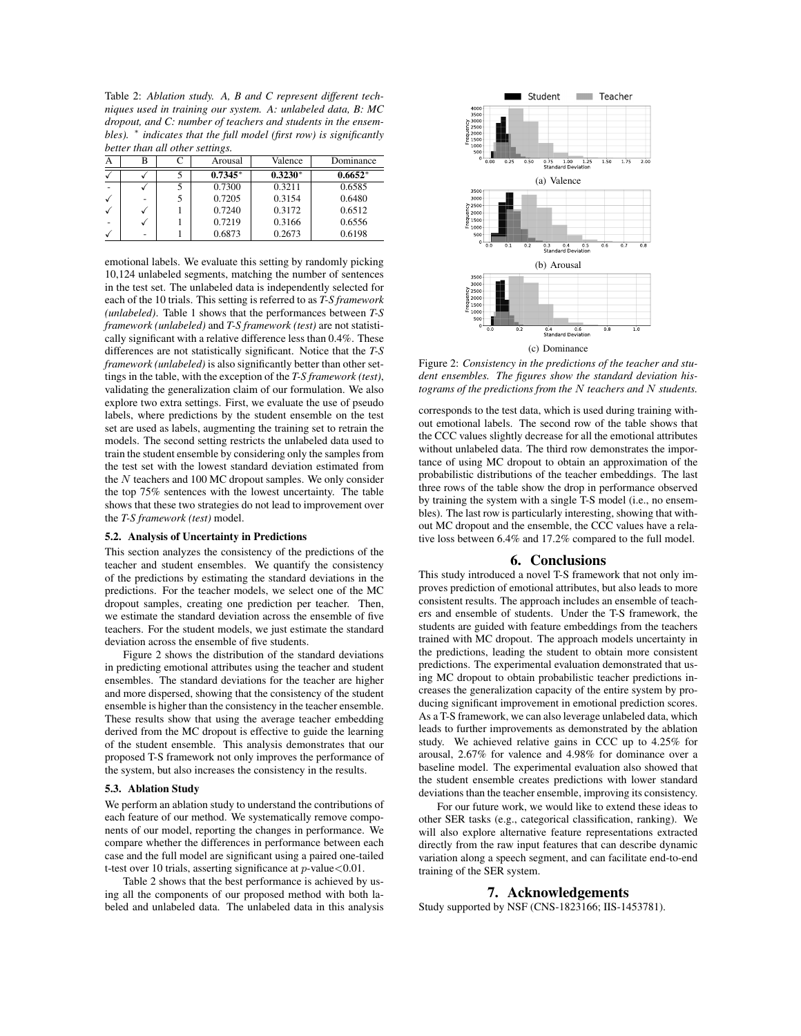Table 2: *Ablation study. A, B and C represent different techniques used in training our system. A: unlabeled data, B: MC dropout, and C: number of teachers and students in the ensembles*).  $*$  *indicates that the full model (first row) is significantly better than all other settings.*

| А |  | Arousal   | Valence   | Dominance |
|---|--|-----------|-----------|-----------|
|   |  | $0.7345*$ | $0.3230*$ | $0.6652*$ |
|   |  | 0.7300    | 0.3211    | 0.6585    |
|   |  | 0.7205    | 0.3154    | 0.6480    |
|   |  | 0.7240    | 0.3172    | 0.6512    |
|   |  | 0.7219    | 0.3166    | 0.6556    |
|   |  | 0.6873    | 0.2673    | 0.6198    |

emotional labels. We evaluate this setting by randomly picking 10,124 unlabeled segments, matching the number of sentences in the test set. The unlabeled data is independently selected for each of the 10 trials. This setting is referred to as *T-S framework (unlabeled)*. Table 1 shows that the performances between *T-S framework (unlabeled)* and *T-S framework (test)* are not statistically significant with a relative difference less than 0.4%. These differences are not statistically significant. Notice that the *T-S framework (unlabeled)* is also significantly better than other settings in the table, with the exception of the *T-S framework (test)*, validating the generalization claim of our formulation. We also explore two extra settings. First, we evaluate the use of pseudo labels, where predictions by the student ensemble on the test set are used as labels, augmenting the training set to retrain the models. The second setting restricts the unlabeled data used to train the student ensemble by considering only the samples from the test set with the lowest standard deviation estimated from the *N* teachers and 100 MC dropout samples. We only consider the top 75% sentences with the lowest uncertainty. The table shows that these two strategies do not lead to improvement over the *T-S framework (test)* model.

#### 5.2. Analysis of Uncertainty in Predictions

This section analyzes the consistency of the predictions of the teacher and student ensembles. We quantify the consistency of the predictions by estimating the standard deviations in the predictions. For the teacher models, we select one of the MC dropout samples, creating one prediction per teacher. Then, we estimate the standard deviation across the ensemble of five teachers. For the student models, we just estimate the standard deviation across the ensemble of five students.

Figure 2 shows the distribution of the standard deviations in predicting emotional attributes using the teacher and student ensembles. The standard deviations for the teacher are higher and more dispersed, showing that the consistency of the student ensemble is higher than the consistency in the teacher ensemble. These results show that using the average teacher embedding derived from the MC dropout is effective to guide the learning of the student ensemble. This analysis demonstrates that our proposed T-S framework not only improves the performance of the system, but also increases the consistency in the results.

#### 5.3. Ablation Study

We perform an ablation study to understand the contributions of each feature of our method. We systematically remove components of our model, reporting the changes in performance. We compare whether the differences in performance between each case and the full model are significant using a paired one-tailed t-test over 10 trials, asserting significance at *p*-value*<*0.01.

Table 2 shows that the best performance is achieved by using all the components of our proposed method with both labeled and unlabeled data. The unlabeled data in this analysis



Figure 2: *Consistency in the predictions of the teacher and student ensembles. The figures show the standard deviation histograms of the predictions from the N teachers and N students.*

corresponds to the test data, which is used during training without emotional labels. The second row of the table shows that the CCC values slightly decrease for all the emotional attributes without unlabeled data. The third row demonstrates the importance of using MC dropout to obtain an approximation of the probabilistic distributions of the teacher embeddings. The last three rows of the table show the drop in performance observed by training the system with a single T-S model (i.e., no ensembles). The last row is particularly interesting, showing that without MC dropout and the ensemble, the CCC values have a relative loss between 6.4% and 17.2% compared to the full model.

# 6. Conclusions

This study introduced a novel T-S framework that not only improves prediction of emotional attributes, but also leads to more consistent results. The approach includes an ensemble of teachers and ensemble of students. Under the T-S framework, the students are guided with feature embeddings from the teachers trained with MC dropout. The approach models uncertainty in the predictions, leading the student to obtain more consistent predictions. The experimental evaluation demonstrated that using MC dropout to obtain probabilistic teacher predictions increases the generalization capacity of the entire system by producing significant improvement in emotional prediction scores. As a T-S framework, we can also leverage unlabeled data, which leads to further improvements as demonstrated by the ablation study. We achieved relative gains in CCC up to 4.25% for arousal, 2.67% for valence and 4.98% for dominance over a baseline model. The experimental evaluation also showed that the student ensemble creates predictions with lower standard deviations than the teacher ensemble, improving its consistency.

For our future work, we would like to extend these ideas to other SER tasks (e.g., categorical classification, ranking). We will also explore alternative feature representations extracted directly from the raw input features that can describe dynamic variation along a speech segment, and can facilitate end-to-end training of the SER system.

## 7. Acknowledgements

Study supported by NSF (CNS-1823166; IIS-1453781).